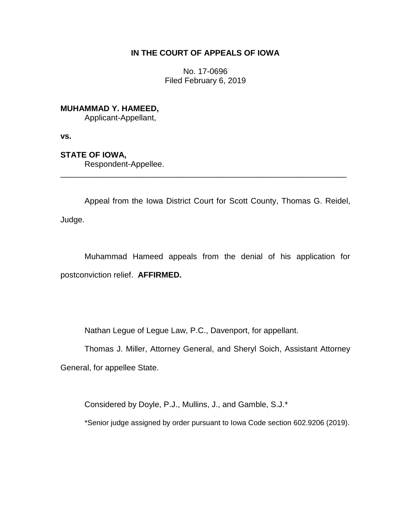## **IN THE COURT OF APPEALS OF IOWA**

No. 17-0696 Filed February 6, 2019

**MUHAMMAD Y. HAMEED,**

Applicant-Appellant,

**vs.**

**STATE OF IOWA,**

Respondent-Appellee.

Appeal from the Iowa District Court for Scott County, Thomas G. Reidel, Judge.

\_\_\_\_\_\_\_\_\_\_\_\_\_\_\_\_\_\_\_\_\_\_\_\_\_\_\_\_\_\_\_\_\_\_\_\_\_\_\_\_\_\_\_\_\_\_\_\_\_\_\_\_\_\_\_\_\_\_\_\_\_\_\_\_

Muhammad Hameed appeals from the denial of his application for postconviction relief. **AFFIRMED.**

Nathan Legue of Legue Law, P.C., Davenport, for appellant.

Thomas J. Miller, Attorney General, and Sheryl Soich, Assistant Attorney General, for appellee State.

Considered by Doyle, P.J., Mullins, J., and Gamble, S.J.\*

\*Senior judge assigned by order pursuant to Iowa Code section 602.9206 (2019).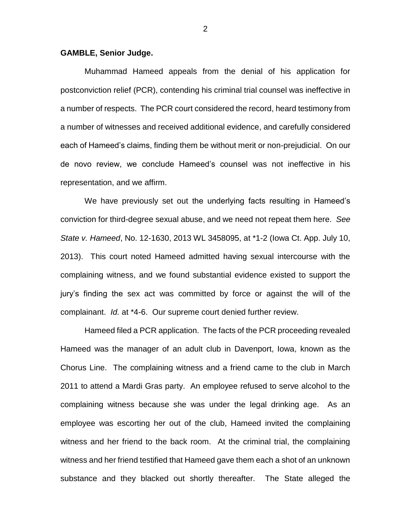## **GAMBLE, Senior Judge.**

Muhammad Hameed appeals from the denial of his application for postconviction relief (PCR), contending his criminal trial counsel was ineffective in a number of respects. The PCR court considered the record, heard testimony from a number of witnesses and received additional evidence, and carefully considered each of Hameed's claims, finding them be without merit or non-prejudicial. On our de novo review, we conclude Hameed's counsel was not ineffective in his representation, and we affirm.

We have previously set out the underlying facts resulting in Hameed's conviction for third-degree sexual abuse, and we need not repeat them here. *See State v. Hameed*, No. 12-1630, 2013 WL 3458095, at \*1-2 (Iowa Ct. App. July 10, 2013). This court noted Hameed admitted having sexual intercourse with the complaining witness, and we found substantial evidence existed to support the jury's finding the sex act was committed by force or against the will of the complainant. *Id.* at \*4-6. Our supreme court denied further review.

Hameed filed a PCR application. The facts of the PCR proceeding revealed Hameed was the manager of an adult club in Davenport, Iowa, known as the Chorus Line. The complaining witness and a friend came to the club in March 2011 to attend a Mardi Gras party. An employee refused to serve alcohol to the complaining witness because she was under the legal drinking age. As an employee was escorting her out of the club, Hameed invited the complaining witness and her friend to the back room. At the criminal trial, the complaining witness and her friend testified that Hameed gave them each a shot of an unknown substance and they blacked out shortly thereafter. The State alleged the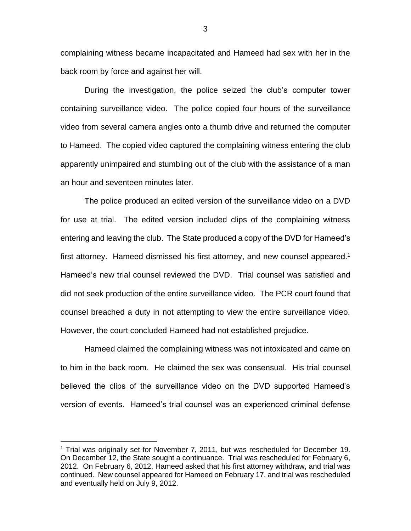complaining witness became incapacitated and Hameed had sex with her in the back room by force and against her will.

During the investigation, the police seized the club's computer tower containing surveillance video. The police copied four hours of the surveillance video from several camera angles onto a thumb drive and returned the computer to Hameed. The copied video captured the complaining witness entering the club apparently unimpaired and stumbling out of the club with the assistance of a man an hour and seventeen minutes later.

The police produced an edited version of the surveillance video on a DVD for use at trial. The edited version included clips of the complaining witness entering and leaving the club. The State produced a copy of the DVD for Hameed's first attorney. Hameed dismissed his first attorney, and new counsel appeared.<sup>1</sup> Hameed's new trial counsel reviewed the DVD. Trial counsel was satisfied and did not seek production of the entire surveillance video. The PCR court found that counsel breached a duty in not attempting to view the entire surveillance video. However, the court concluded Hameed had not established prejudice.

Hameed claimed the complaining witness was not intoxicated and came on to him in the back room. He claimed the sex was consensual. His trial counsel believed the clips of the surveillance video on the DVD supported Hameed's version of events. Hameed's trial counsel was an experienced criminal defense

 $\overline{a}$ 

3

<sup>&</sup>lt;sup>1</sup> Trial was originally set for November 7, 2011, but was rescheduled for December 19. On December 12, the State sought a continuance. Trial was rescheduled for February 6, 2012. On February 6, 2012, Hameed asked that his first attorney withdraw, and trial was continued. New counsel appeared for Hameed on February 17, and trial was rescheduled and eventually held on July 9, 2012.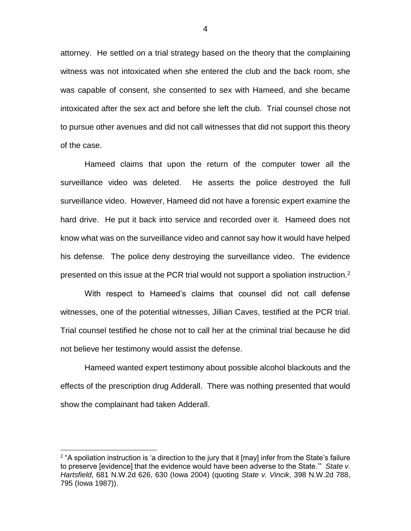attorney. He settled on a trial strategy based on the theory that the complaining witness was not intoxicated when she entered the club and the back room, she was capable of consent, she consented to sex with Hameed, and she became intoxicated after the sex act and before she left the club. Trial counsel chose not to pursue other avenues and did not call witnesses that did not support this theory of the case.

Hameed claims that upon the return of the computer tower all the surveillance video was deleted. He asserts the police destroyed the full surveillance video. However, Hameed did not have a forensic expert examine the hard drive. He put it back into service and recorded over it. Hameed does not know what was on the surveillance video and cannot say how it would have helped his defense. The police deny destroying the surveillance video. The evidence presented on this issue at the PCR trial would not support a spoliation instruction.<sup>2</sup>

With respect to Hameed's claims that counsel did not call defense witnesses, one of the potential witnesses, Jillian Caves, testified at the PCR trial. Trial counsel testified he chose not to call her at the criminal trial because he did not believe her testimony would assist the defense.

Hameed wanted expert testimony about possible alcohol blackouts and the effects of the prescription drug Adderall. There was nothing presented that would show the complainant had taken Adderall.

 $\overline{a}$ 

 $2$  "A spoliation instruction is 'a direction to the jury that it [may] infer from the State's failure to preserve [evidence] that the evidence would have been adverse to the State.'" *State v. Hartsfield*, 681 N.W.2d 626, 630 (Iowa 2004) (quoting *State v. Vincik*, 398 N.W.2d 788, 795 (Iowa 1987)).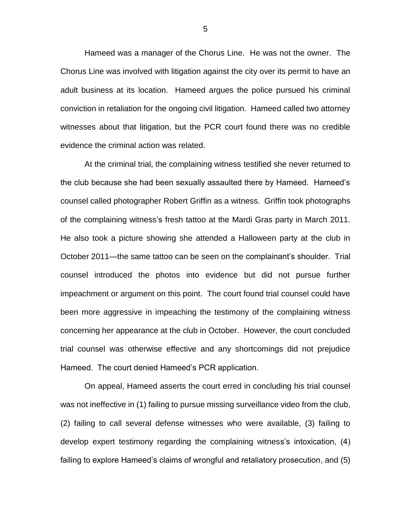Hameed was a manager of the Chorus Line. He was not the owner. The Chorus Line was involved with litigation against the city over its permit to have an adult business at its location. Hameed argues the police pursued his criminal conviction in retaliation for the ongoing civil litigation. Hameed called two attorney witnesses about that litigation, but the PCR court found there was no credible evidence the criminal action was related.

At the criminal trial, the complaining witness testified she never returned to the club because she had been sexually assaulted there by Hameed. Hameed's counsel called photographer Robert Griffin as a witness. Griffin took photographs of the complaining witness's fresh tattoo at the Mardi Gras party in March 2011. He also took a picture showing she attended a Halloween party at the club in October 2011—the same tattoo can be seen on the complainant's shoulder. Trial counsel introduced the photos into evidence but did not pursue further impeachment or argument on this point. The court found trial counsel could have been more aggressive in impeaching the testimony of the complaining witness concerning her appearance at the club in October. However, the court concluded trial counsel was otherwise effective and any shortcomings did not prejudice Hameed. The court denied Hameed's PCR application.

On appeal, Hameed asserts the court erred in concluding his trial counsel was not ineffective in (1) failing to pursue missing surveillance video from the club, (2) failing to call several defense witnesses who were available, (3) failing to develop expert testimony regarding the complaining witness's intoxication, (4) failing to explore Hameed's claims of wrongful and retaliatory prosecution, and (5)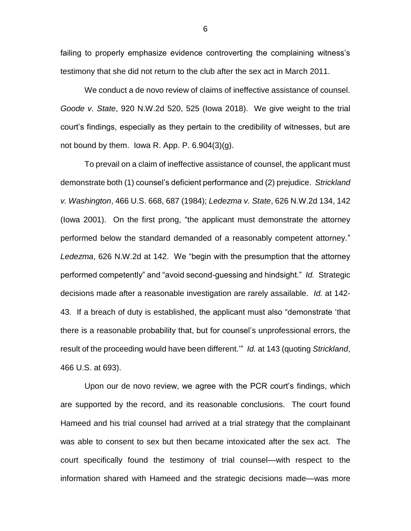failing to properly emphasize evidence controverting the complaining witness's testimony that she did not return to the club after the sex act in March 2011.

We conduct a de novo review of claims of ineffective assistance of counsel. *Goode v. State*, 920 N.W.2d 520, 525 (Iowa 2018). We give weight to the trial court's findings, especially as they pertain to the credibility of witnesses, but are not bound by them. Iowa R. App. P. 6.904(3)(g).

To prevail on a claim of ineffective assistance of counsel, the applicant must demonstrate both (1) counsel's deficient performance and (2) prejudice. *Strickland v. Washington*, 466 U.S. 668, 687 (1984); *Ledezma v. State*, 626 N.W.2d 134, 142 (Iowa 2001). On the first prong, "the applicant must demonstrate the attorney performed below the standard demanded of a reasonably competent attorney." *Ledezma*, 626 N.W.2d at 142. We "begin with the presumption that the attorney performed competently" and "avoid second-guessing and hindsight." *Id.* Strategic decisions made after a reasonable investigation are rarely assailable. *Id.* at 142- 43. If a breach of duty is established, the applicant must also "demonstrate 'that there is a reasonable probability that, but for counsel's unprofessional errors, the result of the proceeding would have been different.'" *Id.* at 143 (quoting *Strickland*, 466 U.S. at 693).

Upon our de novo review, we agree with the PCR court's findings, which are supported by the record, and its reasonable conclusions. The court found Hameed and his trial counsel had arrived at a trial strategy that the complainant was able to consent to sex but then became intoxicated after the sex act. The court specifically found the testimony of trial counsel—with respect to the information shared with Hameed and the strategic decisions made—was more

6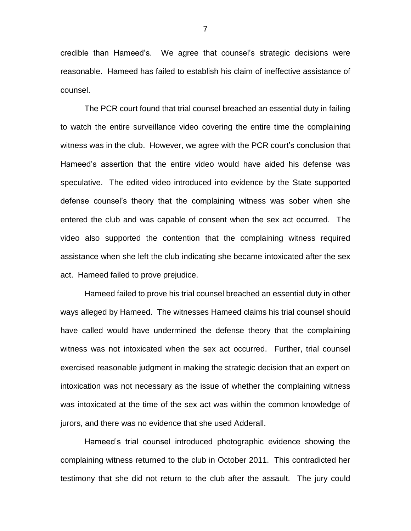credible than Hameed's. We agree that counsel's strategic decisions were reasonable. Hameed has failed to establish his claim of ineffective assistance of counsel.

The PCR court found that trial counsel breached an essential duty in failing to watch the entire surveillance video covering the entire time the complaining witness was in the club. However, we agree with the PCR court's conclusion that Hameed's assertion that the entire video would have aided his defense was speculative. The edited video introduced into evidence by the State supported defense counsel's theory that the complaining witness was sober when she entered the club and was capable of consent when the sex act occurred. The video also supported the contention that the complaining witness required assistance when she left the club indicating she became intoxicated after the sex act. Hameed failed to prove prejudice.

Hameed failed to prove his trial counsel breached an essential duty in other ways alleged by Hameed. The witnesses Hameed claims his trial counsel should have called would have undermined the defense theory that the complaining witness was not intoxicated when the sex act occurred. Further, trial counsel exercised reasonable judgment in making the strategic decision that an expert on intoxication was not necessary as the issue of whether the complaining witness was intoxicated at the time of the sex act was within the common knowledge of jurors, and there was no evidence that she used Adderall.

Hameed's trial counsel introduced photographic evidence showing the complaining witness returned to the club in October 2011. This contradicted her testimony that she did not return to the club after the assault. The jury could